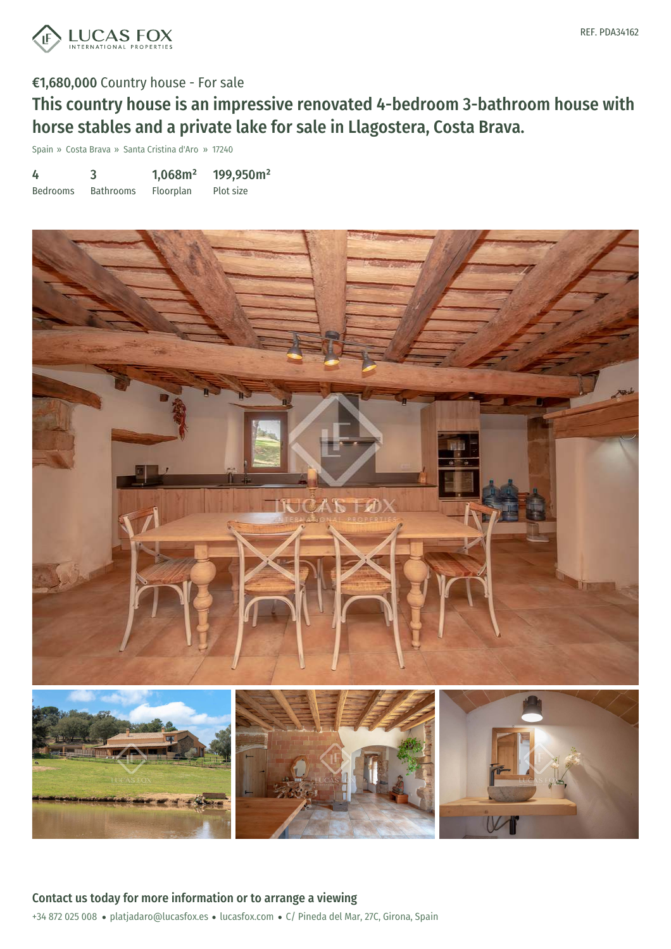

# €1,680,000 Country house - For sale

This country house is an impressive renovated 4-bedroom 3-bathroom house with horse stables and a private lake for sale in Llagostera, Costa Brava.

Spain » Costa Brava » Santa Cristina d'Aro » 17240

| 4               |                  | 1,068m <sup>2</sup> | 199,950m <sup>2</sup> |
|-----------------|------------------|---------------------|-----------------------|
| <b>Bedrooms</b> | <b>Bathrooms</b> | Floorplan           | Plot size             |

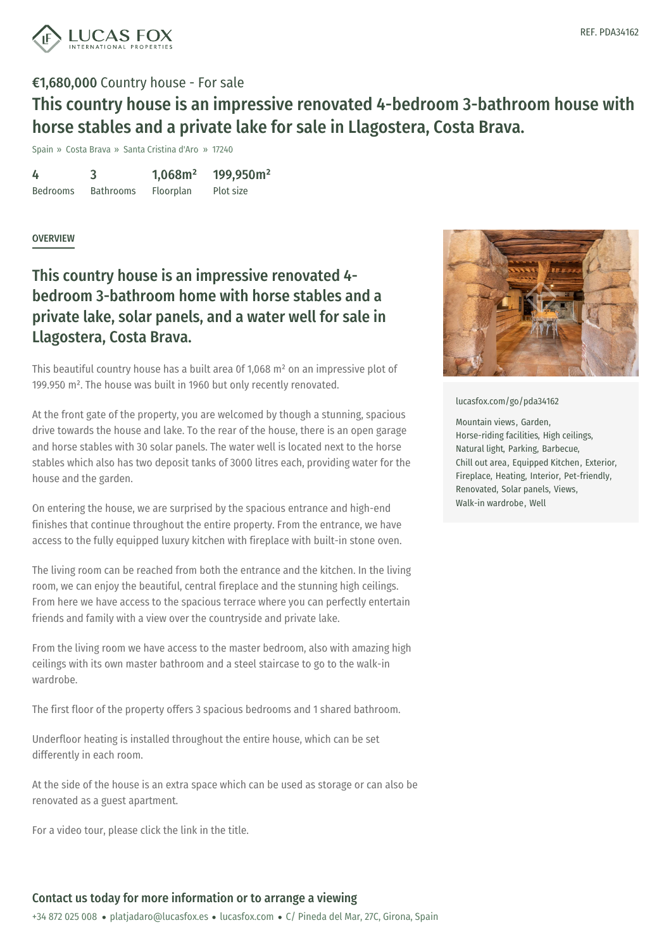

# €1,680,000 Country house - For sale This country house is an impressive renovated 4-bedroom 3-bathroom house with

horse stables and a private lake for sale in Llagostera, Costa Brava.

Spain » Costa Brava » Santa Cristina d'Aro » 17240

4 Bedrooms 3 Bathrooms 1,068m² Floorplan 199,950m² Plot size

#### **OVERVIEW**

# This country house is an impressive renovated 4 bedroom 3-bathroom home with horse stables and a private lake, solar panels, and a water well for sale in Llagostera, Costa Brava.

This beautiful country house has a built area 0f 1,068 m² on an impressive plot of 199.950 m². The house was built in 1960 but only recently renovated.

At the front gate of the property, you are welcomed by though a stunning, spacious drive towards the house and lake. To the rear of the house, there is an open garage and horse stables with 30 solar panels. The water well is located next to the horse stables which also has two deposit tanks of 3000 litres each, providing water for the house and the garden.

On entering the house, we are surprised by the spacious entrance and high-end finishes that continue throughout the entire property. From the entrance, we have access to the fully equipped luxury kitchen with fireplace with built-in stone oven.

The living room can be reached from both the entrance and the kitchen. In the living room, we can enjoy the beautiful, central fireplace and the stunning high ceilings. From here we have access to the spacious terrace where you can perfectly entertain friends and family with a view over the countryside and private lake.

From the living room we have access to the master bedroom, also with amazing high ceilings with its own master bathroom and a steel staircase to go to the walk-in wardrobe.

The first floor of the property offers 3 spacious bedrooms and 1 shared bathroom.

Underfloor heating is installed throughout the entire house, which can be set differently in each room.

At the side of the house is an extra space which can be used as storage or can also be renovated as a guest apartment.

For a video tour, please click the link in the title.



#### [lucasfox.com/go/pda34162](https://www.lucasfox.com/go/pda34162)

Mountain views, Garden, Horse-riding facilities, High ceilings, Natural light, Parking, Barbecue, Chill out area, Equipped Kitchen, Exterior, Fireplace, Heating, Interior, Pet-friendly, Renovated, Solar panels, Views, Walk-in wardrobe, Well

#### Contact us today for more information or to arrange a viewing

+34 872 025 008 · platjadaro@lucasfox.es · lucasfox.com · C/ Pineda del Mar, 27C, Girona, Spain